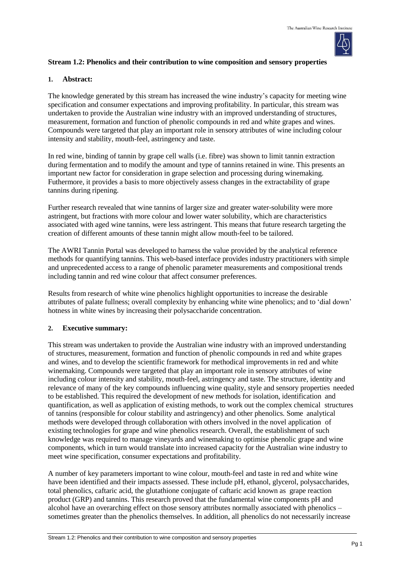

### **Stream 1.2: Phenolics and their contribution to wine composition and sensory properties**

#### **1. Abstract:**

The knowledge generated by this stream has increased the wine industry's capacity for meeting wine specification and consumer expectations and improving profitability. In particular, this stream was undertaken to provide the Australian wine industry with an improved understanding of structures, measurement, formation and function of phenolic compounds in red and white grapes and wines. Compounds were targeted that play an important role in sensory attributes of wine including colour intensity and stability, mouth-feel, astringency and taste.

In red wine, binding of tannin by grape cell walls (i.e. fibre) was shown to limit tannin extraction during fermentation and to modify the amount and type of tannins retained in wine. This presents an important new factor for consideration in grape selection and processing during winemaking. Futhermore, it provides a basis to more objectively assess changes in the extractability of grape tannins during ripening.

Further research revealed that wine tannins of larger size and greater water-solubility were more astringent, but fractions with more colour and lower water solubility, which are characteristics associated with aged wine tannins, were less astringent. This means that future research targeting the creation of different amounts of these tannin might allow mouth-feel to be tailored.

The AWRI Tannin Portal was developed to harness the value provided by the analytical reference methods for quantifying tannins. This web-based interface provides industry practitioners with simple and unprecedented access to a range of phenolic parameter measurements and compositional trends including tannin and red wine colour that affect consumer preferences.

Results from research of white wine phenolics highlight opportunities to increase the desirable attributes of palate fullness; overall complexity by enhancing white wine phenolics; and to 'dial down' hotness in white wines by increasing their polysaccharide concentration.

## **2. Executive summary:**

This stream was undertaken to provide the Australian wine industry with an improved understanding of structures, measurement, formation and function of phenolic compounds in red and white grapes and wines, and to develop the scientific framework for methodical improvements in red and white winemaking. Compounds were targeted that play an important role in sensory attributes of wine including colour intensity and stability, mouth-feel, astringency and taste. The structure, identity and relevance of many of the key compounds influencing wine quality, style and sensory properties needed to be established. This required the development of new methods for isolation, identification and quantification, as well as application of existing methods, to work out the complex chemical structures of tannins (responsible for colour stability and astringency) and other phenolics. Some analytical methods were developed through collaboration with others involved in the novel application of existing technologies for grape and wine phenolics research. Overall, the establishment of such knowledge was required to manage vineyards and winemaking to optimise phenolic grape and wine components, which in turn would translate into increased capacity for the Australian wine industry to meet wine specification, consumer expectations and profitability.

A number of key parameters important to wine colour, mouth-feel and taste in red and white wine have been identified and their impacts assessed. These include pH, ethanol, glycerol, polysaccharides, total phenolics, caftaric acid, the glutathione conjugate of caftaric acid known as grape reaction product (GRP) and tannins. This research proved that the fundamental wine components pH and alcohol have an overarching effect on those sensory attributes normally associated with phenolics – sometimes greater than the phenolics themselves. In addition, all phenolics do not necessarily increase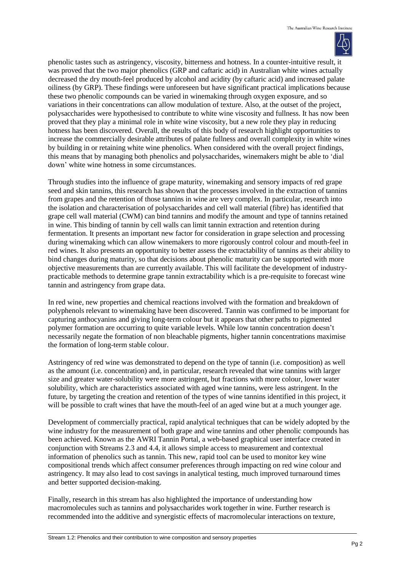

phenolic tastes such as astringency, viscosity, bitterness and hotness. In a counter-intuitive result, it was proved that the two major phenolics (GRP and caftaric acid) in Australian white wines actually decreased the dry mouth-feel produced by alcohol and acidity (by caftaric acid) and increased palate oiliness (by GRP). These findings were unforeseen but have significant practical implications because these two phenolic compounds can be varied in winemaking through oxygen exposure, and so variations in their concentrations can allow modulation of texture. Also, at the outset of the project, polysaccharides were hypothesised to contribute to white wine viscosity and fullness. It has now been proved that they play a minimal role in white wine viscosity, but a new role they play in reducing hotness has been discovered. Overall, the results of this body of research highlight opportunities to increase the commercially desirable attributes of palate fullness and overall complexity in white wines by building in or retaining white wine phenolics. When considered with the overall project findings, this means that by managing both phenolics and polysaccharides, winemakers might be able to 'dial down' white wine hotness in some circumstances.

Through studies into the influence of grape maturity, winemaking and sensory impacts of red grape seed and skin tannins, this research has shown that the processes involved in the extraction of tannins from grapes and the retention of those tannins in wine are very complex. In particular, research into the isolation and characterisation of polysaccharides and cell wall material (fibre) has identified that grape cell wall material (CWM) can bind tannins and modify the amount and type of tannins retained in wine. This binding of tannin by cell walls can limit tannin extraction and retention during fermentation. It presents an important new factor for consideration in grape selection and processing during winemaking which can allow winemakers to more rigorously control colour and mouth-feel in red wines. It also presents an opportunity to better assess the extractability of tannins as their ability to bind changes during maturity, so that decisions about phenolic maturity can be supported with more objective measurements than are currently available. This will facilitate the development of industrypracticable methods to determine grape tannin extractability which is a pre-requisite to forecast wine tannin and astringency from grape data.

In red wine, new properties and chemical reactions involved with the formation and breakdown of polyphenols relevant to winemaking have been discovered. Tannin was confirmed to be important for capturing anthocyanins and giving long-term colour but it appears that other paths to pigmented polymer formation are occurring to quite variable levels. While low tannin concentration doesn't necessarily negate the formation of non bleachable pigments, higher tannin concentrations maximise the formation of long-term stable colour.

Astringency of red wine was demonstrated to depend on the type of tannin (i.e. composition) as well as the amount (i.e. concentration) and, in particular, research revealed that wine tannins with larger size and greater water-solubility were more astringent, but fractions with more colour, lower water solubility, which are characteristics associated with aged wine tannins, were less astringent. In the future, by targeting the creation and retention of the types of wine tannins identified in this project, it will be possible to craft wines that have the mouth-feel of an aged wine but at a much younger age.

Development of commercially practical, rapid analytical techniques that can be widely adopted by the wine industry for the measurement of both grape and wine tannins and other phenolic compounds has been achieved. Known as the AWRI Tannin Portal, a web-based graphical user interface created in conjunction with Streams 2.3 and 4.4, it allows simple access to measurement and contextual information of phenolics such as tannin. This new, rapid tool can be used to monitor key wine compositional trends which affect consumer preferences through impacting on red wine colour and astringency. It may also lead to cost savings in analytical testing, much improved turnaround times and better supported decision-making.

Finally, research in this stream has also highlighted the importance of understanding how macromolecules such as tannins and polysaccharides work together in wine. Further research is recommended into the additive and synergistic effects of macromolecular interactions on texture,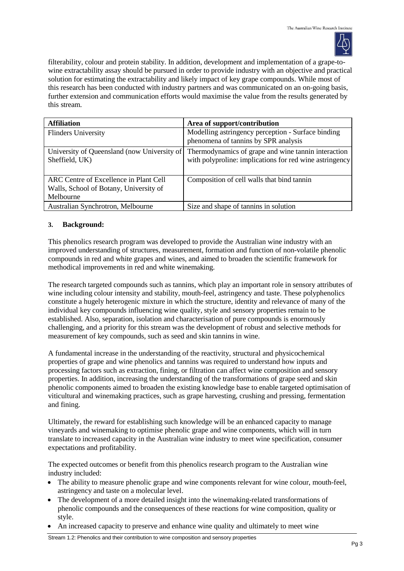

filterability, colour and protein stability. In addition, development and implementation of a grape-towine extractability assay should be pursued in order to provide industry with an objective and practical solution for estimating the extractability and likely impact of key grape compounds. While most of this research has been conducted with industry partners and was communicated on an on-going basis, further extension and communication efforts would maximise the value from the results generated by this stream.

| <b>Affiliation</b>                                                                            | Area of support/contribution                                                                                   |
|-----------------------------------------------------------------------------------------------|----------------------------------------------------------------------------------------------------------------|
| <b>Flinders University</b>                                                                    | Modelling astringency perception - Surface binding<br>phenomena of tanning by SPR analysis                     |
| University of Queensland (now University of<br>Sheffield, UK)                                 | Thermodynamics of grape and wine tannin interaction<br>with polyproline: implications for red wine astringency |
| ARC Centre of Excellence in Plant Cell<br>Walls, School of Botany, University of<br>Melbourne | Composition of cell walls that bind tannin                                                                     |
| Australian Synchrotron, Melbourne                                                             | Size and shape of tannins in solution                                                                          |

### **3. Background:**

This phenolics research program was developed to provide the Australian wine industry with an improved understanding of structures, measurement, formation and function of non-volatile phenolic compounds in red and white grapes and wines, and aimed to broaden the scientific framework for methodical improvements in red and white winemaking.

The research targeted compounds such as tannins, which play an important role in sensory attributes of wine including colour intensity and stability, mouth-feel, astringency and taste. These polyphenolics constitute a hugely heterogenic mixture in which the structure, identity and relevance of many of the individual key compounds influencing wine quality, style and sensory properties remain to be established. Also, separation, isolation and characterisation of pure compounds is enormously challenging, and a priority for this stream was the development of robust and selective methods for measurement of key compounds, such as seed and skin tannins in wine.

A fundamental increase in the understanding of the reactivity, structural and physicochemical properties of grape and wine phenolics and tannins was required to understand how inputs and processing factors such as extraction, fining, or filtration can affect wine composition and sensory properties. In addition, increasing the understanding of the transformations of grape seed and skin phenolic components aimed to broaden the existing knowledge base to enable targeted optimisation of viticultural and winemaking practices, such as grape harvesting, crushing and pressing, fermentation and fining.

Ultimately, the reward for establishing such knowledge will be an enhanced capacity to manage vineyards and winemaking to optimise phenolic grape and wine components, which will in turn translate to increased capacity in the Australian wine industry to meet wine specification, consumer expectations and profitability.

The expected outcomes or benefit from this phenolics research program to the Australian wine industry included:

- The ability to measure phenolic grape and wine components relevant for wine colour, mouth-feel, astringency and taste on a molecular level.
- The development of a more detailed insight into the winemaking-related transformations of phenolic compounds and the consequences of these reactions for wine composition, quality or style.
- An increased capacity to preserve and enhance wine quality and ultimately to meet wine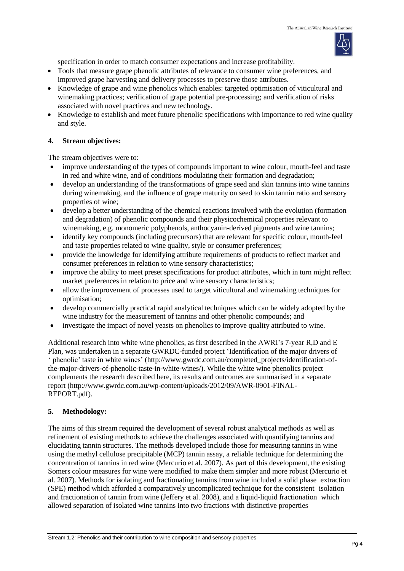

specification in order to match consumer expectations and increase profitability.

- Tools that measure grape phenolic attributes of relevance to consumer wine preferences, and improved grape harvesting and delivery processes to preserve those attributes.
- Knowledge of grape and wine phenolics which enables: targeted optimisation of viticultural and winemaking practices; verification of grape potential pre-processing; and verification of risks associated with novel practices and new technology.
- Knowledge to establish and meet future phenolic specifications with importance to red wine quality and style.

## **4. Stream objectives:**

The stream objectives were to:

- improve understanding of the types of compounds important to wine colour, mouth-feel and taste in red and white wine, and of conditions modulating their formation and degradation;
- develop an understanding of the transformations of grape seed and skin tannins into wine tannins during winemaking, and the influence of grape maturity on seed to skin tannin ratio and sensory properties of wine;
- develop a better understanding of the chemical reactions involved with the evolution (formation and degradation) of phenolic compounds and their physicochemical properties relevant to winemaking, e.g. monomeric polyphenols, anthocyanin-derived pigments and wine tannins;
- identify key compounds (including precursors) that are relevant for specific colour, mouth-feel and taste properties related to wine quality, style or consumer preferences;
- provide the knowledge for identifying attribute requirements of products to reflect market and consumer preferences in relation to wine sensory characteristics;
- improve the ability to meet preset specifications for product attributes, which in turn might reflect market preferences in relation to price and wine sensory characteristics;
- allow the improvement of processes used to target viticultural and winemaking techniques for optimisation;
- develop commercially practical rapid analytical techniques which can be widely adopted by the wine industry for the measurement of tannins and other phenolic compounds; and
- investigate the impact of novel yeasts on phenolics to improve quality attributed to wine.

Additional research into white wine phenolics, as first described in the AWRI's 7-year R,D and E Plan, was undertaken in a separate GWRDC-funded project 'Identification of the major drivers of ' phenolic' taste in white wines' (http://www.gwrdc.com.au/completed\_projects/identification-ofthe-major-drivers-of-phenolic-taste-in-white-wines/). While the white wine phenolics project complements the research described here, its results and outcomes are summarised in a separate report (http://www.gwrdc.com.au/wp-content/uploads/2012/09/AWR-0901-FINAL-REPORT.pdf).

## **5. Methodology:**

The aims of this stream required the development of several robust analytical methods as well as refinement of existing methods to achieve the challenges associated with quantifying tannins and elucidating tannin structures. The methods developed include those for measuring tannins in wine using the methyl cellulose precipitable (MCP) tannin assay, a reliable technique for determining the concentration of tannins in red wine (Mercurio et al. 2007). As part of this development, the existing Somers colour measures for wine were modified to make them simpler and more robust (Mercurio et al. 2007). Methods for isolating and fractionating tannins from wine included a solid phase extraction (SPE) method which afforded a comparatively uncomplicated technique for the consistent isolation and fractionation of tannin from wine (Jeffery et al. 2008), and a liquid-liquid fractionation which allowed separation of isolated wine tannins into two fractions with distinctive properties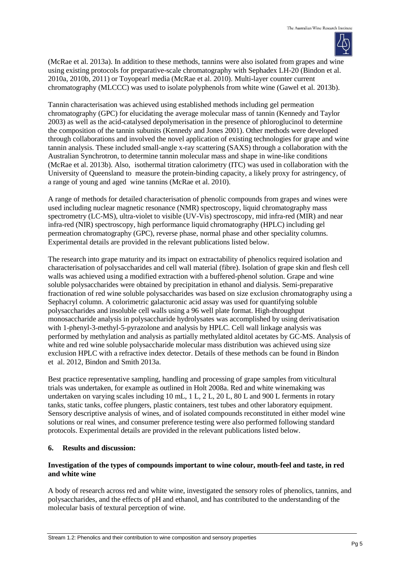

(McRae et al. 2013a). In addition to these methods, tannins were also isolated from grapes and wine using existing protocols for preparative-scale chromatography with Sephadex LH-20 (Bindon et al. 2010a, 2010b, 2011) or Toyopearl media (McRae et al. 2010). Multi-layer counter current chromatography (MLCCC) was used to isolate polyphenols from white wine (Gawel et al*.* 2013b).

Tannin characterisation was achieved using established methods including gel permeation chromatography (GPC) for elucidating the average molecular mass of tannin (Kennedy and Taylor 2003) as well as the acid-catalysed depolymerisation in the presence of phloroglucinol to determine the composition of the tannin subunits (Kennedy and Jones 2001). Other methods were developed through collaborations and involved the novel application of existing technologies for grape and wine tannin analysis. These included small-angle x-ray scattering (SAXS) through a collaboration with the Australian Synchrotron, to determine tannin molecular mass and shape in wine-like conditions (McRae et al. 2013b). Also, isothermal titration calorimetry (ITC) was used in collaboration with the University of Queensland to measure the protein-binding capacity, a likely proxy for astringency, of a range of young and aged wine tannins (McRae et al. 2010).

A range of methods for detailed characterisation of phenolic compounds from grapes and wines were used including nuclear magnetic resonance (NMR) spectroscopy, liquid chromatography mass spectrometry (LC-MS), ultra-violet to visible (UV-Vis) spectroscopy, mid infra-red (MIR) and near infra-red (NIR) spectroscopy, high performance liquid chromatography (HPLC) including gel permeation chromatography (GPC), reverse phase, normal phase and other speciality columns. Experimental details are provided in the relevant publications listed below.

The research into grape maturity and its impact on extractability of phenolics required isolation and characterisation of polysaccharides and cell wall material (fibre). Isolation of grape skin and flesh cell walls was achieved using a modified extraction with a buffered-phenol solution. Grape and wine soluble polysaccharides were obtained by precipitation in ethanol and dialysis. Semi-preparative fractionation of red wine soluble polysaccharides was based on size exclusion chromatography using a Sephacryl column. A colorimetric galacturonic acid assay was used for quantifying soluble polysaccharides and insoluble cell walls using a 96 well plate format. High-throughput monosaccharide analysis in polysaccharide hydrolysates was accomplished by using derivatisation with 1-phenyl-3-methyl-5-pyrazolone and analysis by HPLC. Cell wall linkage analysis was performed by methylation and analysis as partially methylated alditol acetates by GC-MS. Analysis of white and red wine soluble polysaccharide molecular mass distribution was achieved using size exclusion HPLC with a refractive index detector. Details of these methods can be found in Bindon et al. 2012, Bindon and Smith 2013a.

Best practice representative sampling, handling and processing of grape samples from viticultural trials was undertaken, for example as outlined in Holt 2008a. Red and white winemaking was undertaken on varying scales including 10 mL, 1 L, 2 L, 20 L, 80 L and 900 L ferments in rotary tanks, static tanks, coffee plungers, plastic containers, test tubes and other laboratory equipment. Sensory descriptive analysis of wines, and of isolated compounds reconstituted in either model wine solutions or real wines, and consumer preference testing were also performed following standard protocols. Experimental details are provided in the relevant publications listed below.

# **6. Results and discussion:**

## **Investigation of the types of compounds important to wine colour, mouth-feel and taste, in red and white wine**

A body of research across red and white wine, investigated the sensory roles of phenolics, tannins, and polysaccharides, and the effects of pH and ethanol, and has contributed to the understanding of the molecular basis of textural perception of wine.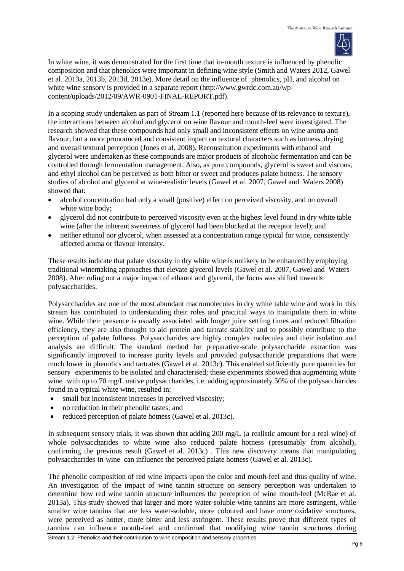

In white wine, it was demonstrated for the first time that in-mouth texture is influenced by phenolic composition and that phenolics were important in defining wine style (Smith and Waters 2012, Gawel et al. 2013a, 2013b, 2013d, 2013e). More detail on the influence of phenolics, pH, and alcohol on white wine sensory is provided in a separate report (http://www.gwrdc.com.au/wpcontent/uploads/2012/09/AWR-0901-FINAL-REPORT.pdf).

In a scoping study undertaken as part of Stream 1.1 (reported here because of its relevance to texture), the interactions between alcohol and glycerol on wine flavour and mouth-feel were investigated. The research showed that these compounds had only small and inconsistent effects on wine aroma and flavour, but a more pronounced and consistent impact on textural characters such as hotness, drying and overall textural perception (Jones et al. 2008). Reconstitution experiments with ethanol and glycerol were undertaken as these compounds are major products of alcoholic fermentation and can be controlled through fermentation management. Also, as pure compounds, glycerol is sweet and viscous, and ethyl alcohol can be perceived as both bitter or sweet and produces palate hotness. The sensory studies of alcohol and glycerol at wine-realistic levels (Gawel et al. 2007, Gawel and Waters 2008) showed that:

- alcohol concentration had only a small (positive) effect on perceived viscosity, and on overall white wine body;
- glycerol did not contribute to perceived viscosity even at the highest level found in dry white table wine (after the inherent sweetness of glycerol had been blocked at the receptor level); and
- neither ethanol nor glycerol, when assessed at a concentration range typical for wine, consistently affected aroma or flavour intensity.

These results indicate that palate viscosity in dry white wine is unlikely to be enhanced by employing traditional winemaking approaches that elevate glycerol levels (Gawel et al. 2007, Gawel and Waters 2008). After ruling out a major impact of ethanol and glycerol, the focus was shifted towards polysaccharides.

Polysaccharides are one of the most abundant macromolecules in dry white table wine and work in this stream has contributed to understanding their roles and practical ways to manipulate them in white wine. While their presence is usually associated with longer juice settling times and reduced filtration efficiency, they are also thought to aid protein and tartrate stability and to possibly contribute to the perception of palate fullness. Polysaccharides are highly complex molecules and their isolation and analysis are difficult. The standard method for preparative-scale polysaccharide extraction was significantly improved to increase purity levels and provided polysaccharide preparations that were much lower in phenolics and tartrates (Gawel et al. 2013c). This enabled sufficiently pure quantities for sensory experiments to be isolated and characterised; these experiments showed that augmenting white wine with up to 70 mg/L native polysaccharides, i.e. adding approximately 50% of the polysaccharides found in a typical white wine, resulted in:

- small but inconsistent increases in perceived viscosity;
- no reduction in their phenolic tastes; and
- reduced perception of palate hotness (Gawel et al. 2013c).

In subsequent sensory trials, it was shown that adding 200 mg/L (a realistic amount for a real wine) of whole polysaccharides to white wine also reduced palate hotness (presumably from alcohol), confirming the previous result (Gawel et al. 2013c) . This new discovery means that manipulating polysaccharides in wine can influence the perceived palate hotness (Gawel et al. 2013c).

The phenolic composition of red wine impacts upon the color and mouth-feel and thus quality of wine. An investigation of the impact of wine tannin structure on sensory perception was undertaken to determine how red wine tannin structure influences the perception of wine mouth-feel (McRae et al. 2013a). This study showed that larger and more water-soluble wine tannins are more astringent, while smaller wine tannins that are less water-soluble, more coloured and have more oxidative structures, were perceived as hotter, more bitter and less astringent. These results prove that different types of tannins can influence mouth-feel and confirmed that modifying wine tannin structures during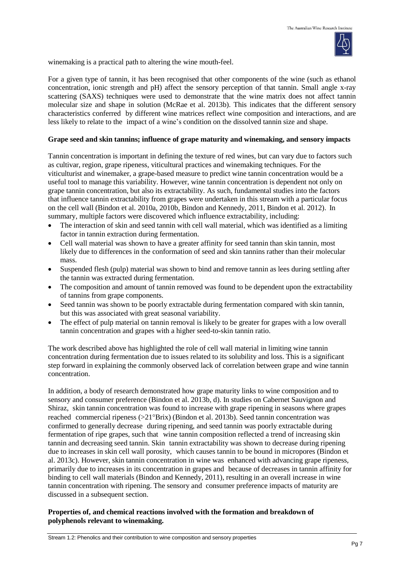

winemaking is a practical path to altering the wine mouth-feel.

For a given type of tannin, it has been recognised that other components of the wine (such as ethanol concentration, ionic strength and pH) affect the sensory perception of that tannin. Small angle x-ray scattering (SAXS) techniques were used to demonstrate that the wine matrix does not affect tannin molecular size and shape in solution (McRae et al. 2013b). This indicates that the different sensory characteristics conferred by different wine matrices reflect wine composition and interactions, and are less likely to relate to the impact of a wine's condition on the dissolved tannin size and shape.

### **Grape seed and skin tannins; influence of grape maturity and winemaking, and sensory impacts**

Tannin concentration is important in defining the texture of red wines, but can vary due to factors such as cultivar, region, grape ripeness, viticultural practices and winemaking techniques. For the viticulturist and winemaker, a grape-based measure to predict wine tannin concentration would be a useful tool to manage this variability. However, wine tannin concentration is dependent not only on grape tannin concentration, but also its extractability. As such, fundamental studies into the factors that influence tannin extractability from grapes were undertaken in this stream with a particular focus on the cell wall (Bindon et al. 2010a, 2010b, Bindon and Kennedy, 2011, Bindon et al. 2012). In summary, multiple factors were discovered which influence extractability, including:

- The interaction of skin and seed tannin with cell wall material, which was identified as a limiting factor in tannin extraction during fermentation.
- Cell wall material was shown to have a greater affinity for seed tannin than skin tannin, most likely due to differences in the conformation of seed and skin tannins rather than their molecular mass.
- Suspended flesh (pulp) material was shown to bind and remove tannin as lees during settling after the tannin was extracted during fermentation.
- The composition and amount of tannin removed was found to be dependent upon the extractability of tannins from grape components.
- Seed tannin was shown to be poorly extractable during fermentation compared with skin tannin, but this was associated with great seasonal variability.
- The effect of pulp material on tannin removal is likely to be greater for grapes with a low overall tannin concentration and grapes with a higher seed-to-skin tannin ratio.

The work described above has highlighted the role of cell wall material in limiting wine tannin concentration during fermentation due to issues related to its solubility and loss. This is a significant step forward in explaining the commonly observed lack of correlation between grape and wine tannin concentration.

In addition, a body of research demonstrated how grape maturity links to wine composition and to sensory and consumer preference (Bindon et al. 2013b, d). In studies on Cabernet Sauvignon and Shiraz, skin tannin concentration was found to increase with grape ripening in seasons where grapes reached commercial ripeness  $(>21^{\circ}Brix)$  (Bindon et al. 2013b). Seed tannin concentration was confirmed to generally decrease during ripening, and seed tannin was poorly extractable during fermentation of ripe grapes, such that wine tannin composition reflected a trend of increasing skin tannin and decreasing seed tannin. Skin tannin extractability was shown to decrease during ripening due to increases in skin cell wall porosity, which causes tannin to be bound in micropores (Bindon et al. 2013c). However, skin tannin concentration in wine was enhanced with advancing grape ripeness, primarily due to increases in its concentration in grapes and because of decreases in tannin affinity for binding to cell wall materials (Bindon and Kennedy, 2011), resulting in an overall increase in wine tannin concentration with ripening. The sensory and consumer preference impacts of maturity are discussed in a subsequent section.

### **Properties of, and chemical reactions involved with the formation and breakdown of polyphenols relevant to winemaking.**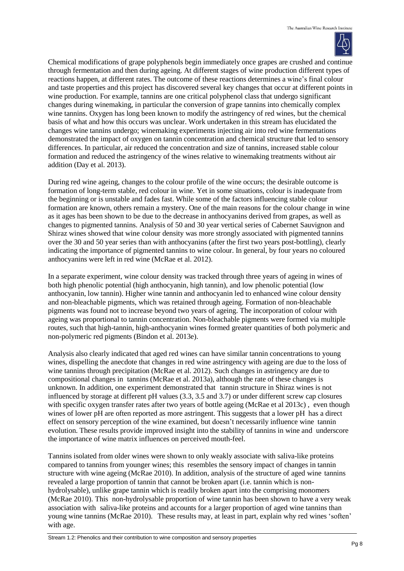

Chemical modifications of grape polyphenols begin immediately once grapes are crushed and continue through fermentation and then during ageing. At different stages of wine production different types of reactions happen, at different rates. The outcome of these reactions determines a wine's final colour and taste properties and this project has discovered several key changes that occur at different points in wine production. For example, tannins are one critical polyphenol class that undergo significant changes during winemaking, in particular the conversion of grape tannins into chemically complex wine tannins. Oxygen has long been known to modify the astringency of red wines, but the chemical basis of what and how this occurs was unclear. Work undertaken in this stream has elucidated the changes wine tannins undergo; winemaking experiments injecting air into red wine fermentations demonstrated the impact of oxygen on tannin concentration and chemical structure that led to sensory differences. In particular, air reduced the concentration and size of tannins, increased stable colour formation and reduced the astringency of the wines relative to winemaking treatments without air addition (Day et al. 2013).

During red wine ageing, changes to the colour profile of the wine occurs; the desirable outcome is formation of long-term stable, red colour in wine. Yet in some situations, colour is inadequate from the beginning or is unstable and fades fast. While some of the factors influencing stable colour formation are known, others remain a mystery. One of the main reasons for the colour change in wine as it ages has been shown to be due to the decrease in anthocyanins derived from grapes, as well as changes to pigmented tannins. Analysis of 50 and 30 year vertical series of Cabernet Sauvignon and Shiraz wines showed that wine colour density was more strongly associated with pigmented tannins over the 30 and 50 year series than with anthocyanins (after the first two years post-bottling), clearly indicating the importance of pigmented tannins to wine colour. In general, by four years no coloured anthocyanins were left in red wine (McRae et al. 2012).

In a separate experiment, wine colour density was tracked through three years of ageing in wines of both high phenolic potential (high anthocyanin, high tannin), and low phenolic potential (low anthocyanin, low tannin). Higher wine tannin and anthocyanin led to enhanced wine colour density and non-bleachable pigments, which was retained through ageing. Formation of non-bleachable pigments was found not to increase beyond two years of ageing. The incorporation of colour with ageing was proportional to tannin concentration. Non-bleachable pigments were formed via multiple routes, such that high-tannin, high-anthocyanin wines formed greater quantities of both polymeric and non-polymeric red pigments (Bindon et al. 2013e).

Analysis also clearly indicated that aged red wines can have similar tannin concentrations to young wines, dispelling the anecdote that changes in red wine astringency with ageing are due to the loss of wine tannins through precipitation (McRae et al. 2012). Such changes in astringency are due to compositional changes in tannins (McRae et al. 2013a), although the rate of these changes is unknown. In addition, one experiment demonstrated that tannin structure in Shiraz wines is not influenced by storage at different pH values (3.3, 3.5 and 3.7) or under different screw cap closures with specific oxygen transfer rates after two years of bottle ageing (McRae et al 2013c), even though wines of lower pH are often reported as more astringent. This suggests that a lower pH has a direct effect on sensory perception of the wine examined, but doesn't necessarily influence wine tannin evolution. These results provide improved insight into the stability of tannins in wine and underscore the importance of wine matrix influences on perceived mouth-feel.

Tannins isolated from older wines were shown to only weakly associate with saliva-like proteins compared to tannins from younger wines; this resembles the sensory impact of changes in tannin structure with wine ageing (McRae 2010). In addition, analysis of the structure of aged wine tannins revealed a large proportion of tannin that cannot be broken apart (i.e. tannin which is nonhydrolysable), unlike grape tannin which is readily broken apart into the comprising monomers (McRae 2010). This non-hydrolysable proportion of wine tannin has been shown to have a very weak association with saliva-like proteins and accounts for a larger proportion of aged wine tannins than young wine tannins (McRae 2010). These results may, at least in part, explain why red wines 'soften' with age.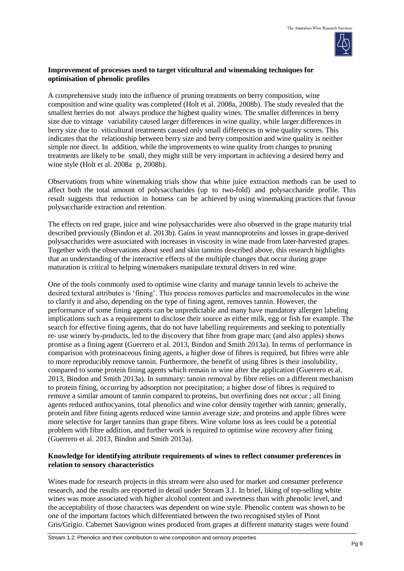

### **Improvement of processes used to target viticultural and winemaking techniques for optimisation of phenolic profiles**

A comprehensive study into the influence of pruning treatments on berry composition, wine composition and wine quality was completed (Holt et al. 2008a, 2008b). The study revealed that the smallest berries do not always produce the highest quality wines. The smaller differences in berry size due to vintage variability caused larger differences in wine quality, while larger differences in berry size due to viticultural treatments caused only small differences in wine quality scores. This indicates that the relationship between berry size and berry composition and wine quality is neither simple nor direct. In addition, while the improvements to wine quality from changes to pruning treatments are likely to be small, they might still be very important in achieving a desired berry and wine style (Holt et al. 2008a p, 2008b).

Observations from white winemaking trials show that white juice extraction methods can be used to affect both the total amount of polysaccharides (up to two-fold) and polysaccharide profile. This result suggests that reduction in hotness can be achieved by using winemaking practices that favour polysaccharide extraction and retention.

The effects on red grape, juice and wine polysaccharides were also observed in the grape maturity trial described previously (Bindon et al. 2013b). Gains in yeast mannoproteins and losses in grape-derived polysaccharides were associated with increases in viscosity in wine made from later-harvested grapes. Together with the observations about seed and skin tannins described above, this research highlights that an understanding of the interactive effects of the multiple changes that occur during grape maturation is critical to helping winemakers manipulate textural drivers in red wine.

One of the tools commonly used to optimise wine clarity and manage tannin levels to acheive the desired textural attributes is 'fining'. This process removes particles and macromolecules in the wine to clarify it and also, depending on the type of fining agent, removes tannin. However, the performance of some fining agents can be unpredictable and many have mandatory allergen labeling implications such as a requirement to disclose their source as either milk, egg or fish for example. The search for effective fining agents, that do not have labelling requirements and seeking to potentially re- use winery by-products, led to the discovery that fibre from grape marc (and also apples) shows promise as a fining agent (Guerrero et al. 2013, Bindon and Smith 2013a). In terms of performance in comparison with proteinaceous fining agents, a higher dose of fibres is required, but fibres were able to more reproducibly remove tannin. Furthermore, the benefit of using fibres is their insolubility, compared to some protein fining agents which remain in wine after the application (Guerrero et al. 2013, Bindon and Smith 2013a). In summary: tannin removal by fibre relies on a different mechanism to protein fining, occurring by adsorption not precipitation; a higher dose of fibres is required to remove a similar amount of tannin compared to proteins, but overfining does not occur ; all fining agents reduced anthocyanins, total phenolics and wine color density together with tannin; generally, protein and fibre fining agents reduced wine tannin average size; and proteins and apple fibres were more selective for larger tannins than grape fibres. Wine volume loss as lees could be a potential problem with fibre addition, and further work is required to optimise wine recovery after fining (Guerrero et al. 2013, Bindon and Smith 2013a).

## **Knowledge for identifying attribute requirements of wines to reflect consumer preferences in relation to sensory characteristics**

Wines made for research projects in this stream were also used for market and consumer preference research, and the results are reported in detail under Stream 3.1. In brief, liking of top-selling white wines was more associated with higher alcohol content and sweetness than with phenolic level, and the acceptability of those characters was dependent on wine style. Phenolic content was shown to be one of the important factors which differentiated between the two recognised styles of Pinot Gris/Grigio. Cabernet Sauvignon wines produced from grapes at different maturity stages were found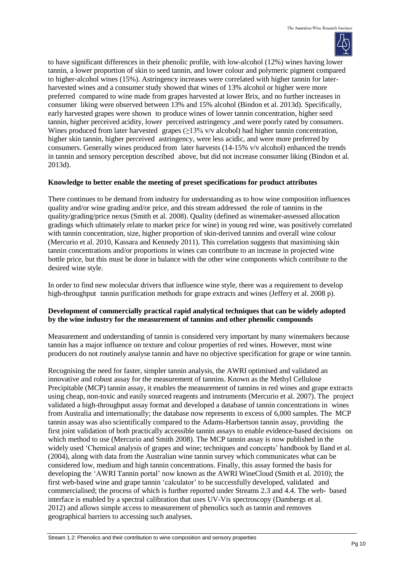

to have significant differences in their phenolic profile, with low-alcohol (12%) wines having lower tannin, a lower proportion of skin to seed tannin, and lower colour and polymeric pigment compared to higher-alcohol wines (15%). Astringency increases were correlated with higher tannin for laterharvested wines and a consumer study showed that wines of 13% alcohol or higher were more preferred compared to wine made from grapes harvested at lower Brix, and no further increases in consumer liking were observed between 13% and 15% alcohol (Bindon et al. 2013d). Specifically, early harvested grapes were shown to produce wines of lower tannin concentration, higher seed tannin, higher perceived acidity, lower perceived astringency ,and were poorly rated by consumers. Wines produced from later harvested grapes  $(\geq 13\% \text{ v/v alcohol})$  had higher tannin concentration, higher skin tannin, higher perceived astringency, were less acidic, and were more preferred by consumers. Generally wines produced from later harvests (14-15% v/v alcohol) enhanced the trends in tannin and sensory perception described above, but did not increase consumer liking (Bindon et al. 2013d).

## **Knowledge to better enable the meeting of preset specifications for product attributes**

There continues to be demand from industry for understanding as to how wine composition influences quality and/or wine grading and/or price, and this stream addressed the role of tannins in the quality/grading/price nexus (Smith et al. 2008). Quality (defined as winemaker-assessed allocation gradings which ultimately relate to market price for wine) in young red wine, was positively correlated with tannin concentration, size, higher proportion of skin-derived tannins and overall wine colour (Mercurio et al. 2010, Kassara and Kennedy 2011). This correlation suggests that maximising skin tannin concentrations and/or proportions in wines can contribute to an increase in projected wine bottle price, but this must be done in balance with the other wine components which contribute to the desired wine style.

In order to find new molecular drivers that influence wine style, there was a requirement to develop high-throughput tannin purification methods for grape extracts and wines (Jeffery et al. 2008 p).

## **Development of commercially practical rapid analytical techniques that can be widely adopted by the wine industry for the measurement of tannins and other phenolic compounds**

Measurement and understanding of tannin is considered very important by many winemakers because tannin has a major influence on texture and colour properties of red wines. However, most wine producers do not routinely analyse tannin and have no objective specification for grape or wine tannin.

Recognising the need for faster, simpler tannin analysis, the AWRI optimised and validated an innovative and robust assay for the measurement of tannins. Known as the Methyl Cellulose Precipitable (MCP) tannin assay, it enables the measurement of tannins in red wines and grape extracts using cheap, non-toxic and easily sourced reagents and instruments (Mercurio et al. 2007). The project validated a high-throughput assay format and developed a database of tannin concentrations in wines from Australia and internationally; the database now represents in excess of 6,000 samples. The MCP tannin assay was also scientifically compared to the Adams-Harbertson tannin assay, providing the first joint validation of both practically accessible tannin assays to enable evidence-based decisions on which method to use (Mercurio and Smith 2008). The MCP tannin assay is now published in the widely used 'Chemical analysis of grapes and wine; techniques and concepts' handbook by Iland et al. (2004), along with data from the Australian wine tannin survey which communicates what can be considered low, medium and high tannin concentrations. Finally, this assay formed the basis for developing the 'AWRI Tannin portal' now known as the AWRI WineCloud (Smith et al*.* 2010); the first web-based wine and grape tannin 'calculator' to be successfully developed, validated and commercialised; the process of which is further reported under Streams 2.3 and 4.4. The web- based interface is enabled by a spectral calibration that uses UV-Vis spectroscopy (Dambergs et al. 2012) and allows simple access to measurement of phenolics such as tannin and removes geographical barriers to accessing such analyses.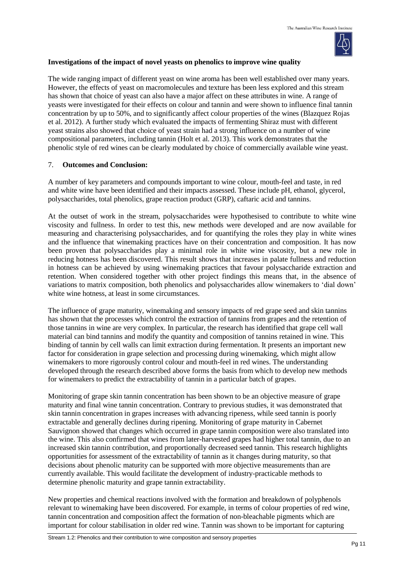

#### **Investigations of the impact of novel yeasts on phenolics to improve wine quality**

The wide ranging impact of different yeast on wine aroma has been well established over many years. However, the effects of yeast on macromolecules and texture has been less explored and this stream has shown that choice of yeast can also have a major affect on these attributes in wine. A range of yeasts were investigated for their effects on colour and tannin and were shown to influence final tannin concentration by up to 50%, and to significantly affect colour properties of the wines (Blazquez Rojas et al. 2012). A further study which evaluated the impacts of fermenting Shiraz must with different yeast strains also showed that choice of yeast strain had a strong influence on a number of wine compositional parameters, including tannin (Holt et al*.* 2013). This work demonstrates that the phenolic style of red wines can be clearly modulated by choice of commercially available wine yeast.

#### 7. **Outcomes and Conclusion:**

A number of key parameters and compounds important to wine colour, mouth-feel and taste, in red and white wine have been identified and their impacts assessed. These include pH, ethanol, glycerol, polysaccharides, total phenolics, grape reaction product (GRP), caftaric acid and tannins.

At the outset of work in the stream, polysaccharides were hypothesised to contribute to white wine viscosity and fullness. In order to test this, new methods were developed and are now available for measuring and characterising polysaccharides, and for quantifying the roles they play in white wines and the influence that winemaking practices have on their concentration and composition. It has now been proven that polysaccharides play a minimal role in white wine viscosity, but a new role in reducing hotness has been discovered. This result shows that increases in palate fullness and reduction in hotness can be achieved by using winemaking practices that favour polysaccharide extraction and retention. When considered together with other project findings this means that, in the absence of variations to matrix composition, both phenolics and polysaccharides allow winemakers to 'dial down' white wine hotness, at least in some circumstances.

The influence of grape maturity, winemaking and sensory impacts of red grape seed and skin tannins has shown that the processes which control the extraction of tannins from grapes and the retention of those tannins in wine are very complex. In particular, the research has identified that grape cell wall material can bind tannins and modify the quantity and composition of tannins retained in wine. This binding of tannin by cell walls can limit extraction during fermentation. It presents an important new factor for consideration in grape selection and processing during winemaking, which might allow winemakers to more rigorously control colour and mouth-feel in red wines. The understanding developed through the research described above forms the basis from which to develop new methods for winemakers to predict the extractability of tannin in a particular batch of grapes.

Monitoring of grape skin tannin concentration has been shown to be an objective measure of grape maturity and final wine tannin concentration. Contrary to previous studies, it was demonstrated that skin tannin concentration in grapes increases with advancing ripeness, while seed tannin is poorly extractable and generally declines during ripening. Monitoring of grape maturity in Cabernet Sauvignon showed that changes which occurred in grape tannin composition were also translated into the wine. This also confirmed that wines from later-harvested grapes had higher total tannin, due to an increased skin tannin contribution, and proportionally decreased seed tannin. This research highlights opportunities for assessment of the extractability of tannin as it changes during maturity, so that decisions about phenolic maturity can be supported with more objective measurements than are currently available. This would facilitate the development of industry-practicable methods to determine phenolic maturity and grape tannin extractability.

New properties and chemical reactions involved with the formation and breakdown of polyphenols relevant to winemaking have been discovered. For example, in terms of colour properties of red wine, tannin concentration and composition affect the formation of non-bleachable pigments which are important for colour stabilisation in older red wine. Tannin was shown to be important for capturing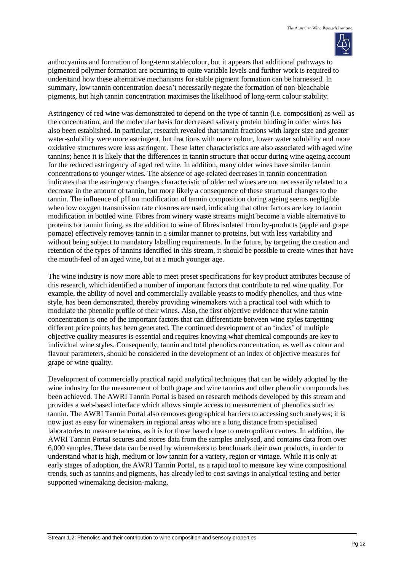

anthocyanins and formation of long-term stablecolour, but it appears that additional pathways to pigmented polymer formation are occurring to quite variable levels and further work is required to understand how these alternative mechanisms for stable pigment formation can be harnessed. In summary, low tannin concentration doesn't necessarily negate the formation of non-bleachable pigments, but high tannin concentration maximises the likelihood of long-term colour stability.

Astringency of red wine was demonstrated to depend on the type of tannin (i.e. composition) as well as the concentration, and the molecular basis for decreased salivary protein binding in older wines has also been established. In particular, research revealed that tannin fractions with larger size and greater water-solubility were more astringent, but fractions with more colour, lower water solubility and more oxidative structures were less astringent. These latter characteristics are also associated with aged wine tannins; hence it is likely that the differences in tannin structure that occur during wine ageing account for the reduced astringency of aged red wine. In addition, many older wines have similar tannin concentrations to younger wines. The absence of age-related decreases in tannin concentration indicates that the astringency changes characteristic of older red wines are not necessarily related to a decrease in the amount of tannin, but more likely a consequence of these structural changes to the tannin. The influence of pH on modification of tannin composition during ageing seems negligible when low oxygen transmission rate closures are used, indicating that other factors are key to tannin modification in bottled wine. Fibres from winery waste streams might become a viable alternative to proteins for tannin fining, as the addition to wine of fibres isolated from by-products (apple and grape pomace) effectively removes tannin in a similar manner to proteins, but with less variability and without being subject to mandatory labelling requirements. In the future, by targeting the creation and retention of the types of tannins identified in this stream, it should be possible to create wines that have the mouth-feel of an aged wine, but at a much younger age.

The wine industry is now more able to meet preset specifications for key product attributes because of this research, which identified a number of important factors that contribute to red wine quality. For example, the ability of novel and commercially available yeasts to modify phenolics, and thus wine style, has been demonstrated, thereby providing winemakers with a practical tool with which to modulate the phenolic profile of their wines. Also, the first objective evidence that wine tannin concentration is one of the important factors that can differentiate between wine styles targetting different price points has been generated. The continued development of an 'index' of multiple objective quality measures is essential and requires knowing what chemical compounds are key to individual wine styles. Consequently, tannin and total phenolics concentration, as well as colour and flavour parameters, should be considered in the development of an index of objective measures for grape or wine quality.

Development of commercially practical rapid analytical techniques that can be widely adopted by the wine industry for the measurement of both grape and wine tannins and other phenolic compounds has been achieved. The AWRI Tannin Portal is based on research methods developed by this stream and provides a web-based interface which allows simple access to measurement of phenolics such as tannin. The AWRI Tannin Portal also removes geographical barriers to accessing such analyses; it is now just as easy for winemakers in regional areas who are a long distance from specialised laboratories to measure tannins, as it is for those based close to metropolitan centres. In addition, the AWRI Tannin PortaI secures and stores data from the samples analysed, and contains data from over 6,000 samples. These data can be used by winemakers to benchmark their own products, in order to understand what is high, medium or low tannin for a variety, region or vintage. While it is only at early stages of adoption, the AWRI Tannin Portal, as a rapid tool to measure key wine compositional trends, such as tannins and pigments, has already led to cost savings in analytical testing and better supported winemaking decision-making.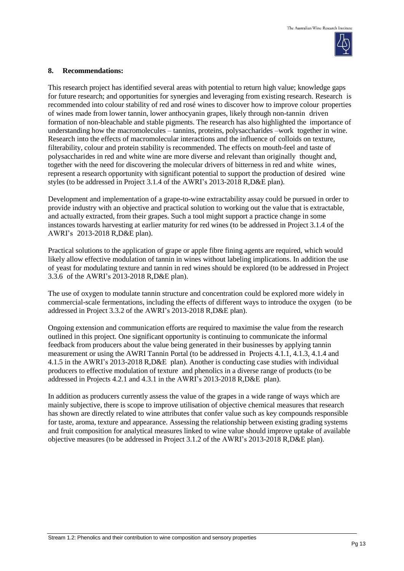

#### **8. Recommendations:**

This research project has identified several areas with potential to return high value; knowledge gaps for future research; and opportunities for synergies and leveraging from existing research. Research is recommended into colour stability of red and rosé wines to discover how to improve colour properties of wines made from lower tannin, lower anthocyanin grapes, likely through non-tannin driven formation of non-bleachable and stable pigments. The research has also highlighted the importance of understanding how the macromolecules – tannins, proteins, polysaccharides –work together in wine. Research into the effects of macromolecular interactions and the influence of colloids on texture, filterability, colour and protein stability is recommended. The effects on mouth-feel and taste of polysaccharides in red and white wine are more diverse and relevant than originally thought and, together with the need for discovering the molecular drivers of bitterness in red and white wines, represent a research opportunity with significant potential to support the production of desired wine styles (to be addressed in Project 3.1.4 of the AWRI's 2013-2018 R,D&E plan).

Development and implementation of a grape-to-wine extractability assay could be pursued in order to provide industry with an objective and practical solution to working out the value that is extractable, and actually extracted, from their grapes. Such a tool might support a practice change in some instances towards harvesting at earlier maturity for red wines (to be addressed in Project 3.1.4 of the AWRI's 2013-2018 R,D&E plan).

Practical solutions to the application of grape or apple fibre fining agents are required, which would likely allow effective modulation of tannin in wines without labeling implications. In addition the use of yeast for modulating texture and tannin in red wines should be explored (to be addressed in Project 3.3.6 of the AWRI's 2013-2018 R,D&E plan).

The use of oxygen to modulate tannin structure and concentration could be explored more widely in commercial-scale fermentations, including the effects of different ways to introduce the oxygen (to be addressed in Project 3.3.2 of the AWRI's 2013-2018 R,D&E plan).

Ongoing extension and communication efforts are required to maximise the value from the research outlined in this project. One significant opportunity is continuing to communicate the informal feedback from producers about the value being generated in their businesses by applying tannin measurement or using the AWRI Tannin Portal (to be addressed in Projects 4.1.1, 4.1.3, 4.1.4 and 4.1.5 in the AWRI's 2013-2018 R,D&E plan). Another is conducting case studies with individual producers to effective modulation of texture and phenolics in a diverse range of products (to be addressed in Projects 4.2.1 and 4.3.1 in the AWRI's 2013-2018 R,D&E plan).

In addition as producers currently assess the value of the grapes in a wide range of ways which are mainly subjective, there is scope to improve utilisation of objective chemical measures that research has shown are directly related to wine attributes that confer value such as key compounds responsible for taste, aroma, texture and appearance. Assessing the relationship between existing grading systems and fruit composition for analytical measures linked to wine value should improve uptake of available objective measures (to be addressed in Project 3.1.2 of the AWRI's 2013-2018 R,D&E plan).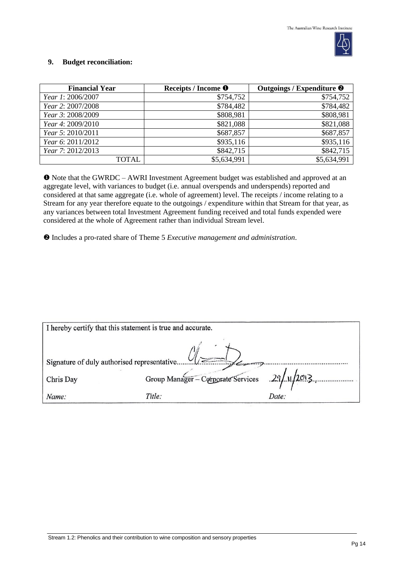

#### **9. Budget reconciliation:**

| <b>Financial Year</b> | Receipts / Income <sup>O</sup> | Outgoings / Expenditure <sup>@</sup> |
|-----------------------|--------------------------------|--------------------------------------|
| Year 1: 2006/2007     | \$754,752                      | \$754,752                            |
| Year 2: 2007/2008     | \$784,482                      | \$784,482                            |
| Year 3: 2008/2009     | \$808,981                      | \$808,981                            |
| Year 4: 2009/2010     | \$821,088                      | \$821,088                            |
| Year 5: 2010/2011     | \$687,857                      | \$687,857                            |
| Year 6: 2011/2012     | \$935,116                      | \$935,116                            |
| Year 7: 2012/2013     | \$842,715                      | \$842,715                            |
| TOTAL                 | \$5,634,991                    | \$5,634,991                          |

 Note that the GWRDC – AWRI Investment Agreement budget was established and approved at an aggregate level, with variances to budget (i.e. annual overspends and underspends) reported and considered at that same aggregate (i.e. whole of agreement) level. The receipts / income relating to a Stream for any year therefore equate to the outgoings / expenditure within that Stream for that year, as any variances between total Investment Agreement funding received and total funds expended were considered at the whole of Agreement rather than individual Stream level.

Includes a pro-rated share of Theme 5 *Executive management and administration*.

| I hereby certify that this statement is true and accurate. |                                                |       |  |
|------------------------------------------------------------|------------------------------------------------|-------|--|
| $\sim$<br>Signature of duly authorised representative      |                                                |       |  |
| Chris Day                                                  | Group Manager - Corporate Services 29/11/2013. |       |  |
| Name:                                                      | Title:                                         | Date: |  |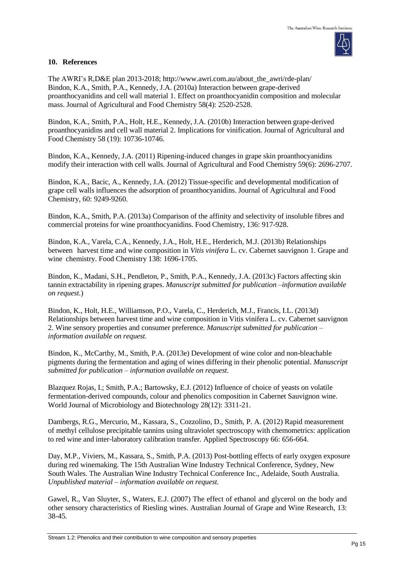

#### **10. References**

The AWRI's R,D&E plan 2013-2018; [http://www.awri.com.au/about\\_the\\_awri/rde-plan/](http://www.awri.com.au/about_the_awri/rde-plan/) Bindon, K.A., Smith, P.A., Kennedy, J.A. (2010a) Interaction between grape-derived proanthocyanidins and cell wall material 1. Effect on proanthocyanidin composition and molecular mass. Journal of Agricultural and Food Chemistry 58(4): 2520-2528.

Bindon, K.A., Smith, P.A., Holt, H.E., Kennedy, J.A. (2010b) Interaction between grape-derived proanthocyanidins and cell wall material 2. Implications for vinification. Journal of Agricultural and Food Chemistry 58 (19): 10736-10746.

Bindon, K.A., Kennedy, J.A. (2011) Ripening-induced changes in grape skin proanthocyanidins modify their interaction with cell walls. Journal of Agricultural and Food Chemistry 59(6): 2696-2707.

Bindon, K.A., Bacic, A., Kennedy, J.A. (2012) Tissue-specific and developmental modification of grape cell walls influences the adsorption of proanthocyanidins. Journal of Agricultural and Food Chemistry, 60: 9249-9260.

Bindon, K.A., Smith, P.A. (2013a) Comparison of the affinity and selectivity of insoluble fibres and commercial proteins for wine proanthocyanidins. Food Chemistry, 136: 917-928.

Bindon, K.A., Varela, C.A., Kennedy, J.A., Holt, H.E., Herderich, M.J. (2013b) Relationships between harvest time and wine composition in *Vitis vinifera* L. cv. Cabernet sauvignon 1. Grape and wine chemistry. Food Chemistry 138: 1696-1705.

Bindon, K., Madani, S.H., Pendleton, P., Smith, P.A., Kennedy, J.A. (2013c) Factors affecting skin tannin extractability in ripening grapes. *Manuscript submitted for publication –information available on request.*)

Bindon, K., Holt, H.E., Williamson, P.O., Varela, C., Herderich, M.J., Francis, I.L. (2013d) Relationships between harvest time and wine composition in Vitis vinifera L. cv. Cabernet sauvignon 2. Wine sensory properties and consumer preference. *Manuscript submitted for publication – information available on request.*

Bindon, K., McCarthy, M., Smith, P.A. (2013e) Development of wine color and non-bleachable pigments during the fermentation and aging of wines differing in their phenolic potential. *Manuscript submitted for publication – information available on request.*

Blazquez Rojas, I.; Smith, P.A.; Bartowsky, E.J. (2012) Influence of choice of yeasts on volatile fermentation-derived compounds, colour and phenolics composition in Cabernet Sauvignon wine. World Journal of Microbiology and Biotechnology 28(12): 3311-21.

Dambergs, R.G., Mercurio, M., Kassara, S., Cozzolino, D., Smith, P. A. (2012) Rapid measurement of methyl cellulose precipitable tannins using ultraviolet spectroscopy with chemometrics: application to red wine and inter-laboratory calibration transfer. Applied Spectroscopy 66: 656-664.

Day, M.P., Viviers, M., Kassara, S., Smith, P.A. (2013) Post-bottling effects of early oxygen exposure during red winemaking. The 15th Australian Wine Industry Technical Conference, Sydney, New South Wales. The Australian Wine Industry Technical Conference Inc., Adelaide, South Australia*. Unpublished material – information available on request.*

Gawel, R., Van Sluyter, S., Waters, E.J. (2007) The effect of ethanol and glycerol on the body and other sensory characteristics of Riesling wines. Australian Journal of Grape and Wine Research, 13: 38-45.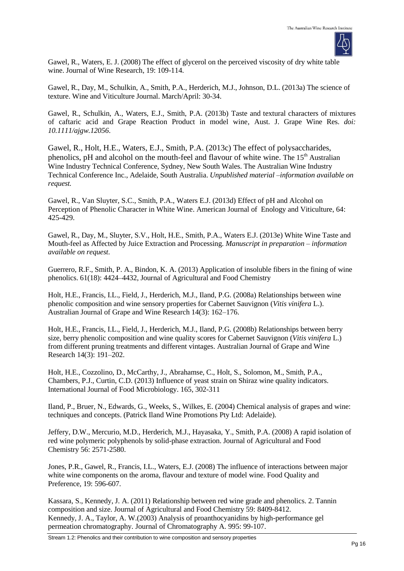

Gawel, R., Waters, E. J. (2008) The effect of glycerol on the perceived viscosity of dry white table wine. Journal of Wine Research, 19: 109-114.

Gawel, R., Day, M., Schulkin, A., Smith, P.A., Herderich, M.J., Johnson, D.L. (2013a) The science of texture. Wine and Viticulture Journal. March/April: 30-34.

Gawel, R., Schulkin, A., Waters, E.J., Smith, P.A. (2013b) Taste and textural characters of mixtures of caftaric acid and Grape Reaction Product in model wine, Aust. J. Grape Wine Res. *doi: 10.1111/ajgw.12056*.

Gawel, R., Holt, H.E., Waters, E.J., Smith, P.A. (2013c) The effect of polysaccharides, phenolics, pH and alcohol on the mouth-feel and flavour of white wine. The  $15<sup>th</sup>$  Australian Wine Industry Technical Conference, Sydney, New South Wales. The Australian Wine Industry Technical Conference Inc., Adelaide, South Australia. *Unpublished material –information available on request.*

Gawel, R., Van Sluyter, S.C., Smith, P.A., Waters E.J. (2013d) Effect of pH and Alcohol on Perception of Phenolic Character in White Wine. American Journal of Enology and Viticulture, 64: 425-429.

Gawel, R., Day, M., Sluyter, S.V., Holt, H.E., Smith, P.A., Waters E.J. (2013e) White Wine Taste and Mouth-feel as Affected by Juice Extraction and Processing. *Manuscript in preparation – information available on request.*

Guerrero, R.F., Smith, P. A., Bindon, K. A. (2013) Application of insoluble fibers in the fining of wine phenolics. 61(18): 4424–4432, Journal of Agricultural and Food Chemistry

Holt, H.E., Francis, I.L., Field, J., Herderich, M.J., Iland, P.G. (2008a) Relationships between wine phenolic composition and wine sensory properties for Cabernet Sauvignon (*Vitis vinifera* L.). Australian Journal of Grape and Wine Research 14(3): 162–176.

Holt, H.E., Francis, I.L., Field, J., Herderich, M.J., Iland, P.G. (2008b) Relationships between berry size, berry phenolic composition and wine quality scores for Cabernet Sauvignon (*Vitis vinifera* L.) from different pruning treatments and different vintages. Australian Journal of Grape and Wine Research 14(3): 191–202.

Holt, H.E., Cozzolino, D., McCarthy, J., Abrahamse, C., Holt, S., Solomon, M., Smith, P.A., Chambers, P.J., Curtin, C.D. (2013) Influence of yeast strain on Shiraz wine quality indicators. International Journal of Food Microbiology. [165, 302-311](http://dx.doi.org/10.1016/j.ijfoodmicro.2013.05.006)

Iland, P., Bruer, N., Edwards, G., Weeks, S., Wilkes, E. (2004) Chemical analysis of grapes and wine: techniques and concepts. (Patrick Iland Wine Promotions Pty Ltd: Adelaide).

Jeffery, D.W., Mercurio, M.D., Herderich, M.J., Hayasaka, Y., Smith, P.A. (2008) A rapid isolation of red wine polymeric polyphenols by solid-phase extraction. Journal of Agricultural and Food Chemistry 56: 2571-2580.

Jones, P.R., Gawel, R., Francis, I.L., Waters, E.J. (2008) The influence of interactions between major white wine components on the aroma, flavour and texture of model wine. Food Quality and Preference, 19: 596-607.

Kassara, S., Kennedy, J. A. (2011) Relationship between red wine grade and phenolics. 2. Tannin composition and size. Journal of Agricultural and Food Chemistry 59: 8409-8412. Kennedy, J. A., Taylor, A. W.(2003) Analysis of proanthocyanidins by high-performance gel permeation chromatography. Journal of Chromatography A. 995: 99-107.